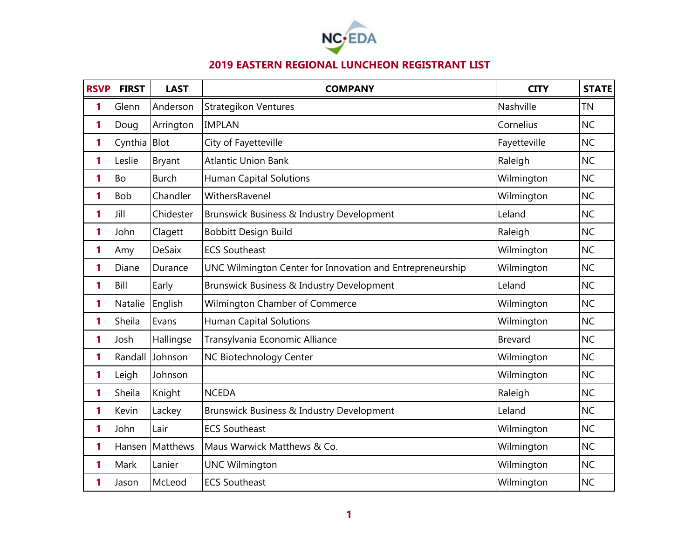

## **2019 EASTERN REGIONAL LUNCHEON REGISTRANT LIST**

| <b>RSVP</b> | <b>FIRST</b> | <b>LAST</b>     | <b>COMPANY</b>                                            | <b>CITY</b>    | <b>STATE</b> |
|-------------|--------------|-----------------|-----------------------------------------------------------|----------------|--------------|
| 1           | Glenn        | Anderson        | <b>Strategikon Ventures</b>                               | Nashville      | <b>TN</b>    |
| 1           | Doug         | Arrington       | <b>IMPLAN</b>                                             | Cornelius      | <b>NC</b>    |
| 1           | Cynthia      | Blot            | City of Fayetteville                                      | Fayetteville   | <b>NC</b>    |
| 1           | Leslie       | <b>Bryant</b>   | <b>Atlantic Union Bank</b>                                | Raleigh        | <b>NC</b>    |
| 1           | <b>Bo</b>    | <b>Burch</b>    | <b>Human Capital Solutions</b>                            | Wilmington     | <b>NC</b>    |
| 1           | <b>Bob</b>   | Chandler        | WithersRavenel                                            | Wilmington     | <b>NC</b>    |
| 1           | Jill         | Chidester       | Brunswick Business & Industry Development                 | Leland         | <b>NC</b>    |
| 1           | John         | Clagett         | <b>Bobbitt Design Build</b>                               | Raleigh        | <b>NC</b>    |
| 1           | Amy          | <b>DeSaix</b>   | <b>ECS Southeast</b>                                      | Wilmington     | <b>NC</b>    |
| 1           | Diane        | Durance         | UNC Wilmington Center for Innovation and Entrepreneurship | Wilmington     | <b>NC</b>    |
| 1           | Bill         | Early           | Brunswick Business & Industry Development                 | Leland         | <b>NC</b>    |
| 1           | Natalie      | English         | Wilmington Chamber of Commerce                            | Wilmington     | <b>NC</b>    |
| 1           | Sheila       | Evans           | <b>Human Capital Solutions</b>                            | Wilmington     | <b>NC</b>    |
| 1           | Josh         | Hallingse       | Transylvania Economic Alliance                            | <b>Brevard</b> | <b>NC</b>    |
| 1           | Randall      | Johnson         | NC Biotechnology Center                                   | Wilmington     | <b>NC</b>    |
| 1           | Leigh        | Johnson         |                                                           | Wilmington     | <b>NC</b>    |
| 1           | Sheila       | Knight          | <b>NCEDA</b>                                              | Raleigh        | <b>NC</b>    |
| 1           | Kevin        | Lackey          | Brunswick Business & Industry Development                 | Leland         | <b>NC</b>    |
| 1           | John         | Lair            | <b>ECS Southeast</b>                                      | Wilmington     | <b>NC</b>    |
| 1           |              | Hansen Matthews | Maus Warwick Matthews & Co.                               | Wilmington     | <b>NC</b>    |
| 1           | Mark         | Lanier          | <b>UNC Wilmington</b>                                     | Wilmington     | <b>NC</b>    |
| 1           | Jason        | McLeod          | <b>ECS Southeast</b>                                      | Wilmington     | <b>NC</b>    |